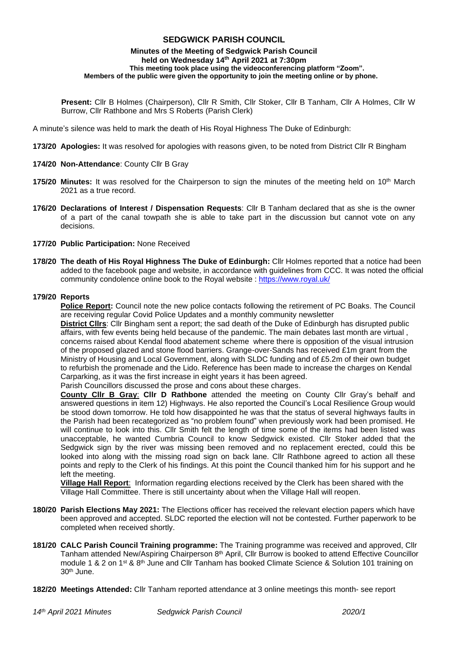# **SEDGWICK PARISH COUNCIL**

#### **Minutes of the Meeting of Sedgwick Parish Council held on Wednesday 14 th April 2021 at 7:30pm This meeting took place using the videoconferencing platform "Zoom". Members of the public were given the opportunity to join the meeting online or by phone.**

**Present:** Cllr B Holmes (Chairperson), Cllr R Smith, Cllr Stoker, Cllr B Tanham, Cllr A Holmes, Cllr W Burrow, Cllr Rathbone and Mrs S Roberts (Parish Clerk)

A minute's silence was held to mark the death of His Royal Highness The Duke of Edinburgh:

- **173/20 Apologies:** It was resolved for apologies with reasons given, to be noted from District Cllr R Bingham
- **174/20 Non-Attendance**: County Cllr B Gray
- **175/20 Minutes:** It was resolved for the Chairperson to sign the minutes of the meeting held on 10<sup>th</sup> March 2021 as a true record.
- **176/20 Declarations of Interest / Dispensation Requests**: Cllr B Tanham declared that as she is the owner of a part of the canal towpath she is able to take part in the discussion but cannot vote on any decisions.
- **177/20 Public Participation:** None Received
- **178/20 The death of His Royal Highness The Duke of Edinburgh:** Cllr Holmes reported that a notice had been added to the facebook page and website, in accordance with guidelines from CCC. It was noted the official community condolence online book to the Royal website :<https://www.royal.uk/>

### **179/20 Reports**

**Police Report:** Council note the new police contacts following the retirement of PC Boaks. The Council are receiving regular Covid Police Updates and a monthly community newsletter

**District Cllrs**: Cllr Bingham sent a report; the sad death of the Duke of Edinburgh has disrupted public affairs, with few events being held because of the pandemic. The main debates last month are virtual , concerns raised about Kendal flood abatement scheme where there is opposition of the visual intrusion of the proposed glazed and stone flood barriers. Grange-over-Sands has received £1m grant from the Ministry of Housing and Local Government, along with SLDC funding and of £5.2m of their own budget to refurbish the promenade and the Lido. Reference has been made to increase the charges on Kendal Carparking, as it was the first increase in eight years it has been agreed.

Parish Councillors discussed the prose and cons about these charges.

**County Cllr B Gray**: **Cllr D Rathbone** attended the meeting on County Cllr Gray's behalf and answered questions in item 12) Highways. He also reported the Council's Local Resilience Group would be stood down tomorrow. He told how disappointed he was that the status of several highways faults in the Parish had been recategorized as "no problem found" when previously work had been promised. He will continue to look into this. Cllr Smith felt the length of time some of the items had been listed was unacceptable, he wanted Cumbria Council to know Sedgwick existed. Cllr Stoker added that the Sedgwick sign by the river was missing been removed and no replacement erected, could this be looked into along with the missing road sign on back lane. Cllr Rathbone agreed to action all these points and reply to the Clerk of his findings. At this point the Council thanked him for his support and he left the meeting.

**Village Hall Report**: Information regarding elections received by the Clerk has been shared with the Village Hall Committee. There is still uncertainty about when the Village Hall will reopen.

- **180/20 Parish Elections May 2021:** The Elections officer has received the relevant election papers which have been approved and accepted. SLDC reported the election will not be contested. Further paperwork to be completed when received shortly.
- **181/20 CALC Parish Council Training programme:** The Training programme was received and approved, Cllr Tanham attended New/Aspiring Chairperson 8<sup>th</sup> April, Cllr Burrow is booked to attend Effective Councillor module 1 & 2 on 1<sup>st</sup> & 8<sup>th</sup> June and Cllr Tanham has booked Climate Science & Solution 101 training on 30th June.
- **182/20 Meetings Attended:** Cllr Tanham reported attendance at 3 online meetings this month- see report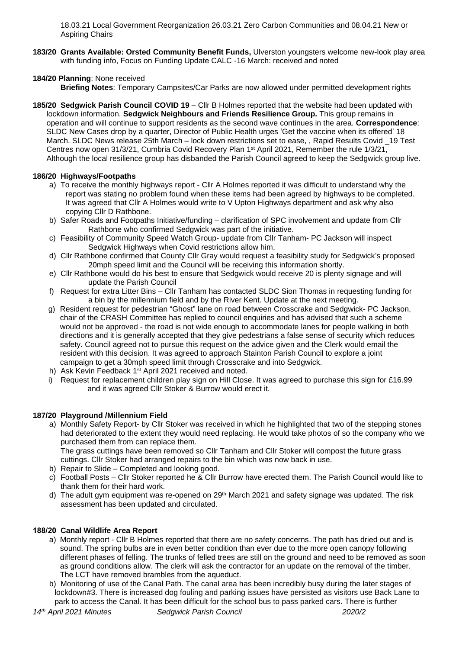18.03.21 Local Government Reorganization 26.03.21 Zero Carbon Communities and 08.04.21 New or Aspiring Chairs

**183/20 Grants Available: Orsted Community Benefit Funds,** Ulverston youngsters welcome new-look play area with funding info, Focus on Funding Update CALC -16 March: received and noted

# **184/20 Planning**: None received

**Briefing Notes**: Temporary Campsites/Car Parks are now allowed under permitted development rights

**185/20 Sedgwick Parish Council COVID 19** – Cllr B Holmes reported that the website had been updated with lockdown information. **Sedgwick Neighbours and Friends Resilience Group.** This group remains in operation and will continue to support residents as the second wave continues in the area. **Correspondence**: SLDC New Cases drop by a quarter, Director of Public Health urges 'Get the vaccine when its offered' 18 March. SLDC News release 25th March – lock down restrictions set to ease. , Rapid Results Covid 19 Test Centres now open 31/3/21, Cumbria Covid Recovery Plan 1st April 2021, Remember the rule 1/3/21, Although the local resilience group has disbanded the Parish Council agreed to keep the Sedgwick group live.

# **186/20 Highways/Footpaths**

- a) To receive the monthly highways report Cllr A Holmes reported it was difficult to understand why the report was stating no problem found when these items had been agreed by highways to be completed. It was agreed that Cllr A Holmes would write to V Upton Highways department and ask why also copying Cllr D Rathbone.
- b) Safer Roads and Footpaths Initiative/funding clarification of SPC involvement and update from Cllr Rathbone who confirmed Sedgwick was part of the initiative.
- c) Feasibility of Community Speed Watch Group- update from Cllr Tanham- PC Jackson will inspect Sedgwick Highways when Covid restrictions allow him.
- d) Cllr Rathbone confirmed that County Cllr Gray would request a feasibility study for Sedgwick's proposed 20mph speed limit and the Council will be receiving this information shortly.
- e) Cllr Rathbone would do his best to ensure that Sedgwick would receive 20 is plenty signage and will update the Parish Council
- f) Request for extra Litter Bins Cllr Tanham has contacted SLDC Sion Thomas in requesting funding for a bin by the millennium field and by the River Kent. Update at the next meeting.
- g) Resident request for pedestrian "Ghost" lane on road between Crosscrake and Sedgwick- PC Jackson, chair of the CRASH Committee has replied to council enquiries and has advised that such a scheme would not be approved - the road is not wide enough to accommodate lanes for people walking in both directions and it is generally accepted that they give pedestrians a false sense of security which reduces safety. Council agreed not to pursue this request on the advice given and the Clerk would email the resident with this decision. It was agreed to approach Stainton Parish Council to explore a joint campaign to get a 30mph speed limit through Crosscrake and into Sedgwick.
- h) Ask Kevin Feedback 1<sup>st</sup> April 2021 received and noted.
- i) Request for replacement children play sign on Hill Close. It was agreed to purchase this sign for £16.99 and it was agreed Cllr Stoker & Burrow would erect it.

### **187/20 Playground /Millennium Field**

a) Monthly Safety Report- by Cllr Stoker was received in which he highlighted that two of the stepping stones had deteriorated to the extent they would need replacing. He would take photos of so the company who we purchased them from can replace them.

The grass cuttings have been removed so Cllr Tanham and Cllr Stoker will compost the future grass cuttings. Cllr Stoker had arranged repairs to the bin which was now back in use.

- b) Repair to Slide Completed and looking good.
- c) Football Posts Cllr Stoker reported he & Cllr Burrow have erected them. The Parish Council would like to thank them for their hard work.
- d) The adult gym equipment was re-opened on 29<sup>th</sup> March 2021 and safety signage was updated. The risk assessment has been updated and circulated.

### **188/20 Canal Wildlife Area Report**

- a) Monthly report Cllr B Holmes reported that there are no safety concerns. The path has dried out and is sound. The spring bulbs are in even better condition than ever due to the more open canopy following different phases of felling. The trunks of felled trees are still on the ground and need to be removed as soon as ground conditions allow. The clerk will ask the contractor for an update on the removal of the timber. The LCT have removed brambles from the aqueduct.
- b) Monitoring of use of the Canal Path. The canal area has been incredibly busy during the later stages of lockdown#3. There is increased dog fouling and parking issues have persisted as visitors use Back Lane to park to access the Canal. It has been difficult for the school bus to pass parked cars. There is further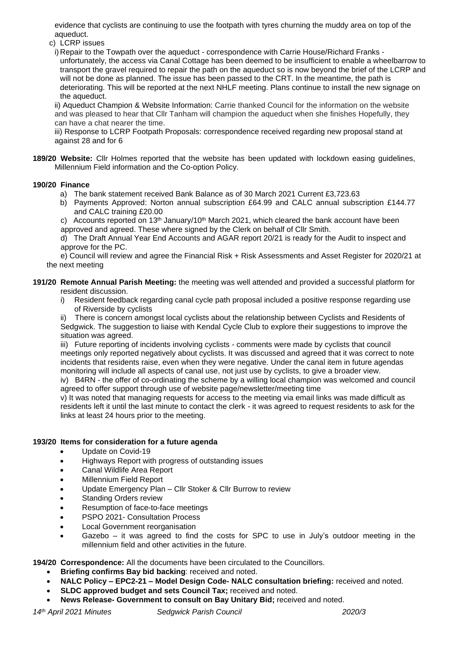evidence that cyclists are continuing to use the footpath with tyres churning the muddy area on top of the aqueduct.

c) LCRP issues

i) Repair to the Towpath over the aqueduct - correspondence with Carrie House/Richard Franks unfortunately, the access via Canal Cottage has been deemed to be insufficient to enable a wheelbarrow to transport the gravel required to repair the path on the aqueduct so is now beyond the brief of the LCRP and will not be done as planned. The issue has been passed to the CRT. In the meantime, the path is deteriorating. This will be reported at the next NHLF meeting. Plans continue to install the new signage on the aqueduct.

ii) Aqueduct Champion & Website Information: Carrie thanked Council for the information on the website and was pleased to hear that Cllr Tanham will champion the aqueduct when she finishes Hopefully, they can have a chat nearer the time.

iii) Response to LCRP Footpath Proposals: correspondence received regarding new proposal stand at against 28 and for 6

**189/20 Website:** Cllr Holmes reported that the website has been updated with lockdown easing guidelines, Millennium Field information and the Co-option Policy.

### **190/20 Finance**

- a) The bank statement received Bank Balance as of 30 March 2021 Current £3,723.63
- b) Payments Approved: Norton annual subscription £64.99 and CALC annual subscription £144.77 and CALC training £20.00

c) Accounts reported on 13<sup>th</sup> January/10<sup>th</sup> March 2021, which cleared the bank account have been approved and agreed. These where signed by the Clerk on behalf of Cllr Smith.

d) The Draft Annual Year End Accounts and AGAR report 20/21 is ready for the Audit to inspect and approve for the PC.

e) Council will review and agree the Financial Risk + Risk Assessments and Asset Register for 2020/21 at the next meeting

**191/20 Remote Annual Parish Meeting:** the meeting was well attended and provided a successful platform for resident discussion.

i) Resident feedback regarding canal cycle path proposal included a positive response regarding use of Riverside by cyclists

There is concern amongst local cyclists about the relationship between Cyclists and Residents of Sedgwick. The suggestion to liaise with Kendal Cycle Club to explore their suggestions to improve the situation was agreed.

iii) Future reporting of incidents involving cyclists - comments were made by cyclists that council meetings only reported negatively about cyclists. It was discussed and agreed that it was correct to note incidents that residents raise, even when they were negative. Under the canal item in future agendas monitoring will include all aspects of canal use, not just use by cyclists, to give a broader view.

iv) B4RN - the offer of co-ordinating the scheme by a willing local champion was welcomed and council agreed to offer support through use of website page/newsletter/meeting time

v) It was noted that managing requests for access to the meeting via email links was made difficult as residents left it until the last minute to contact the clerk - it was agreed to request residents to ask for the links at least 24 hours prior to the meeting.

# **193/20 Items for consideration for a future agenda**

- Update on Covid-19
- Highways Report with progress of outstanding issues
- Canal Wildlife Area Report
- Millennium Field Report
- Update Emergency Plan Cllr Stoker & Cllr Burrow to review
- **Standing Orders review**
- Resumption of face-to-face meetings
- PSPO 2021- Consultation Process
- Local Government reorganisation
- Gazebo it was agreed to find the costs for SPC to use in July's outdoor meeting in the millennium field and other activities in the future.

#### **194/20 Correspondence:** All the documents have been circulated to the Councillors.

- **Briefing confirms Bay bid backing**: received and noted.
- **NALC Policy – EPC2-21 – Model Design Code- NALC consultation briefing:** received and noted.
- **SLDC approved budget and sets Council Tax;** received and noted.
- **News Release- Government to consult on Bay Unitary Bid;** received and noted.